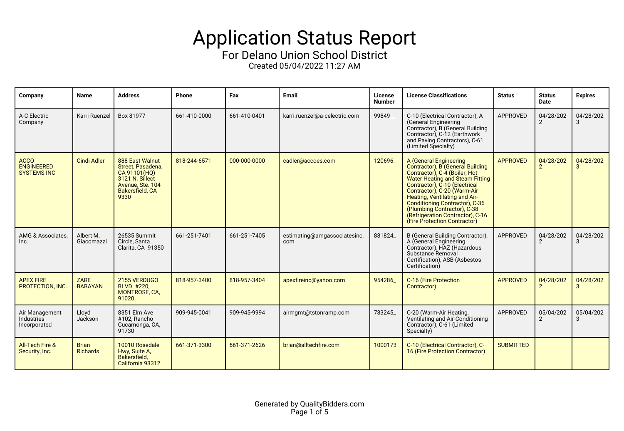## Application Status Report

For Delano Union School District

Created 05/04/2022 11:27 AM

| Company                                                | <b>Name</b>                     | <b>Address</b>                                                                                                                | Phone        | Fax          | <b>Email</b>                        | License<br><b>Number</b> | <b>License Classifications</b>                                                                                                                                                                                                                                                                                                                                              | <b>Status</b>    | <b>Status</b><br>Date       | <b>Expires</b> |
|--------------------------------------------------------|---------------------------------|-------------------------------------------------------------------------------------------------------------------------------|--------------|--------------|-------------------------------------|--------------------------|-----------------------------------------------------------------------------------------------------------------------------------------------------------------------------------------------------------------------------------------------------------------------------------------------------------------------------------------------------------------------------|------------------|-----------------------------|----------------|
| A-C Electric<br>Company                                | Karri Ruenzel                   | Box 81977                                                                                                                     | 661-410-0000 | 661-410-0401 | karri.ruenzel@a-celectric.com       | 99849_                   | C-10 (Electrical Contractor), A<br>(General Engineering<br>Contractor), B (General Building<br>Contractor), C-12 (Earthwork<br>and Paving Contractors), C-61<br>(Limited Specialty)                                                                                                                                                                                         | APPROVED         | 04/28/202                   | 04/28/202<br>3 |
| <b>ACCO</b><br><b>ENGINEERED</b><br><b>SYSTEMS INC</b> | <b>Cindi Adler</b>              | 888 East Walnut<br>Street. Pasadena.<br>CA 91101(HO)<br>3121 N. Sillect<br>Avenue, Ste. 104<br><b>Bakersfield, CA</b><br>9330 | 818-244-6571 | 000-000-0000 | cadler@accoes.com                   | 120696                   | A (General Engineering<br>Contractor), B (General Building<br>Contractor), C-4 (Boiler, Hot<br><b>Water Heating and Steam Fitting</b><br>Contractor), C-10 (Electrical<br>Contractor), C-20 (Warm-Air<br>Heating, Ventilating and Air-<br>Conditioning Contractor), C-36<br>(Plumbing Contractor), C-38<br>(Refrigeration Contractor), C-16<br>(Fire Protection Contractor) | <b>APPROVED</b>  | 04/28/202                   | 04/28/202      |
| AMG & Associates,<br>Inc.                              | Albert M.<br>Giacomazzi         | 26535 Summit<br>Circle, Santa<br>Clarita, CA 91350                                                                            | 661-251-7401 | 661-251-7405 | estimating@amgassociatesinc.<br>com | 881824                   | B (General Building Contractor),<br>A (General Engineering<br>Contractor), HAZ (Hazardous<br>Substance Removal<br>Certification), ASB (Asbestos<br>Certification)                                                                                                                                                                                                           | APPROVED         | 04/28/202<br>$\overline{2}$ | 04/28/202<br>3 |
| <b>APEX FIRE</b><br>PROTECTION, INC.                   | ZARE<br><b>BABAYAN</b>          | 2155 VERDUGO<br>BLVD. #220.<br><b>MONTROSE, CA,</b><br>91020                                                                  | 818-957-3400 | 818-957-3404 | apexfireinc@yahoo.com               | 954286                   | C-16 (Fire Protection<br>Contractor)                                                                                                                                                                                                                                                                                                                                        | <b>APPROVED</b>  | 04/28/202<br>$\mathcal{P}$  | 04/28/202      |
| Air Management<br>Industries<br>Incorporated           | Lloyd<br>Jackson                | 8351 Elm Ave<br>#102. Rancho<br>Cucamonga, CA,<br>91730                                                                       | 909-945-0041 | 909-945-9994 | airmgmt@tstonramp.com               | 783245                   | C-20 (Warm-Air Heating,<br>Ventilating and Air-Conditioning<br>Contractor), C-61 (Limited<br>Specialty)                                                                                                                                                                                                                                                                     | APPROVED         | 05/04/202<br>2              | 05/04/202<br>3 |
| <b>All-Tech Fire &amp;</b><br>Security, Inc.           | <b>Brian</b><br><b>Richards</b> | 10010 Rosedale<br>Hwy, Suite A,<br>Bakersfield.<br>California 93312                                                           | 661-371-3300 | 661-371-2626 | brian@alltechfire.com               | 1000173                  | C-10 (Electrical Contractor), C-<br>16 (Fire Protection Contractor)                                                                                                                                                                                                                                                                                                         | <b>SUBMITTED</b> |                             |                |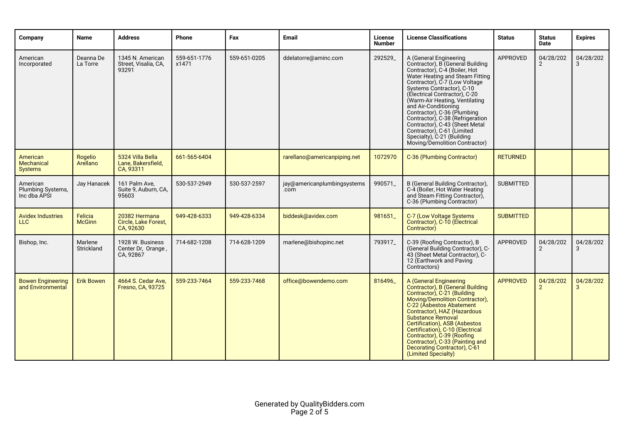| Company                                       | <b>Name</b>              | <b>Address</b>                                      | Phone                 | Fax          | <b>Email</b>                        | License<br><b>Number</b> | <b>License Classifications</b>                                                                                                                                                                                                                                                                                                                                                                                                                                                            | <b>Status</b>    | <b>Status</b><br>Date       | <b>Expires</b> |
|-----------------------------------------------|--------------------------|-----------------------------------------------------|-----------------------|--------------|-------------------------------------|--------------------------|-------------------------------------------------------------------------------------------------------------------------------------------------------------------------------------------------------------------------------------------------------------------------------------------------------------------------------------------------------------------------------------------------------------------------------------------------------------------------------------------|------------------|-----------------------------|----------------|
| American<br>Incorporated                      | Deanna De<br>La Torre    | 1345 N. American<br>Street, Visalia, CA,<br>93291   | 559-651-1776<br>x1471 | 559-651-0205 | ddelatorre@aminc.com                | 292529_                  | A (General Engineering<br>Contractor), B (General Building<br>Contractor), C-4 (Boiler, Hot<br>Water Heating and Steam Fitting<br>Contractor), C-7 (Low Voltage<br>Systems Contractor), C-10<br>(Electrical Contractor), C-20<br>(Warm-Air Heating, Ventilating<br>and Air-Conditioning<br>Contractor), C-36 (Plumbing<br>Contractor), C-38 (Refrigeration<br>Contractor), C-43 (Sheet Metal<br>Contractor), C-61 (Limited<br>Specialty), C-21 (Building<br>Moving/Demolition Contractor) | APPROVED         | 04/28/202<br>2              | 04/28/202<br>3 |
| American<br>Mechanical<br><b>Systems</b>      | Rogelio<br>Arellano      | 5324 Villa Bella<br>Lane. Bakersfield.<br>CA, 93311 | 661-565-6404          |              | rarellano@americanpiping.net        | 1072970                  | C-36 (Plumbing Contractor)                                                                                                                                                                                                                                                                                                                                                                                                                                                                | <b>RETURNED</b>  |                             |                |
| American<br>Plumbing Systems,<br>Inc dba APSI | Jay Hanacek              | 161 Palm Ave,<br>Suite 9, Auburn, CA,<br>95603      | 530-537-2949          | 530-537-2597 | jay@americanplumbingsystems<br>.com | 990571                   | B (General Building Contractor),<br>C-4 (Boiler, Hot Water Heating<br>and Steam Fitting Contractor).<br>C-36 (Plumbing Contractor)                                                                                                                                                                                                                                                                                                                                                        | <b>SUBMITTED</b> |                             |                |
| <b>Avidex Industries</b><br><b>LLC</b>        | Felicia<br><b>McGinn</b> | 20382 Hermana<br>Circle, Lake Forest,<br>CA, 92630  | 949-428-6333          | 949-428-6334 | biddesk@avidex.com                  | 981651                   | C-7 (Low Voltage Systems<br>Contractor), C-10 (Electrical<br>Contractor)                                                                                                                                                                                                                                                                                                                                                                                                                  | <b>SUBMITTED</b> |                             |                |
| Bishop, Inc.                                  | Marlene<br>Strickland    | 1928 W. Business<br>Center Dr, Orange,<br>CA, 92867 | 714-682-1208          | 714-628-1209 | marlene@bishopinc.net               | 793917                   | C-39 (Roofing Contractor), B<br>(General Building Contractor), C-<br>43 (Sheet Metal Contractor), C-<br>12 (Earthwork and Paving<br>Contractors)                                                                                                                                                                                                                                                                                                                                          | <b>APPROVED</b>  | 04/28/202<br>$\overline{2}$ | 04/28/202<br>3 |
| <b>Bowen Engineering</b><br>and Environmental | <b>Erik Bowen</b>        | 4664 S. Cedar Ave.<br>Fresno, CA, 93725             | 559-233-7464          | 559-233-7468 | office@bowendemo.com                | 816496                   | A (General Engineering<br>Contractor), B (General Building<br>Contractor), C-21 (Building<br>Moving/Demolition Contractor),<br>C-22 (Asbestos Abatement<br>Contractor), HAZ (Hazardous<br><b>Substance Removal</b><br>Certification), ASB (Asbestos<br>Certification), C-10 (Electrical<br>Contractor), C-39 (Roofing<br>Contractor), C-33 (Painting and<br>Decorating Contractor), C-61<br>(Limited Specialty)                                                                           | <b>APPROVED</b>  | 04/28/202<br>$\overline{2}$ | 04/28/202<br>3 |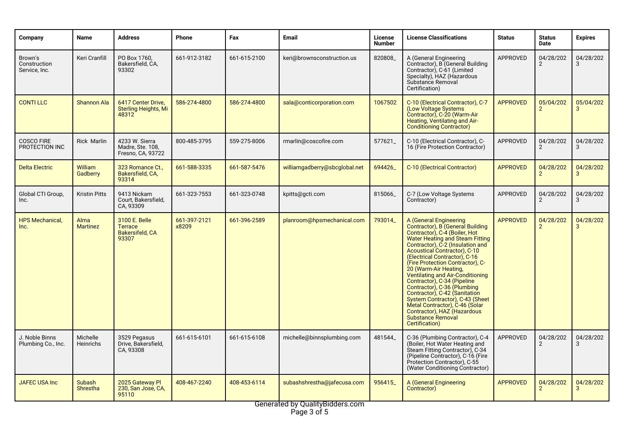| Company                                  | Name                             | Address                                                     | Phone                 | Fax          | Email                         | License<br><b>Number</b> | <b>License Classifications</b>                                                                                                                                                                                                                                                                                                                                                                                                                                                                                                                                                                      | <b>Status</b>   | <b>Status</b><br>Date       | <b>Expires</b>            |
|------------------------------------------|----------------------------------|-------------------------------------------------------------|-----------------------|--------------|-------------------------------|--------------------------|-----------------------------------------------------------------------------------------------------------------------------------------------------------------------------------------------------------------------------------------------------------------------------------------------------------------------------------------------------------------------------------------------------------------------------------------------------------------------------------------------------------------------------------------------------------------------------------------------------|-----------------|-----------------------------|---------------------------|
| Brown's<br>Construction<br>Service, Inc. | Keri Cranfill                    | PO Box 1760.<br>Bakersfield, CA,<br>93302                   | 661-912-3182          | 661-615-2100 | keri@brownsconstruction.us    | 820808                   | A (General Engineering<br>Contractor), B (General Building<br>Contractor), C-61 (Limited<br>Specialty), HAZ (Hazardous<br>Substance Removal<br>Certification)                                                                                                                                                                                                                                                                                                                                                                                                                                       | <b>APPROVED</b> | 04/28/202<br>2              | 04/28/202<br>3            |
| <b>CONTILLC</b>                          | <b>Shannon Ala</b>               | 6417 Center Drive,<br><b>Sterling Heights, Mi</b><br>48312  | 586-274-4800          | 586-274-4800 | sala@conticorporation.com     | 1067502                  | C-10 (Electrical Contractor), C-7<br>(Low Voltage Systems<br>Contractor), C-20 (Warm-Air<br>Heating, Ventilating and Air-<br><b>Conditioning Contractor)</b>                                                                                                                                                                                                                                                                                                                                                                                                                                        | <b>APPROVED</b> | 05/04/202<br>$\overline{2}$ | 05/04/202<br>3            |
| <b>COSCO FIRE</b><br>PROTECTION INC      | <b>Rick Marlin</b>               | 4233 W. Sierra<br>Madre, Ste. 108,<br>Fresno, CA, 93722     | 800-485-3795          | 559-275-8006 | rmarlin@coscofire.com         | 577621                   | C-10 (Electrical Contractor), C-<br>16 (Fire Protection Contractor)                                                                                                                                                                                                                                                                                                                                                                                                                                                                                                                                 | APPROVED        | 04/28/202<br>$\overline{2}$ | 04/28/202<br>3            |
| <b>Delta Electric</b>                    | William<br>Gadberry              | 323 Romance Ct.,<br>Bakersfield, CA,<br>93314               | 661-588-3335          | 661-587-5476 | williamgadberry@sbcglobal.net | 694426                   | C-10 (Electrical Contractor)                                                                                                                                                                                                                                                                                                                                                                                                                                                                                                                                                                        | <b>APPROVED</b> | 04/28/202<br>$\overline{2}$ | 04/28/202<br>3            |
| Global CTI Group,<br>Inc.                | <b>Kristin Pitts</b>             | 9413 Nickam<br>Court, Bakersfield,<br>CA, 93309             | 661-323-7553          | 661-323-0748 | kpitts@gcti.com               | 815066                   | C-7 (Low Voltage Systems<br>Contractor)                                                                                                                                                                                                                                                                                                                                                                                                                                                                                                                                                             | <b>APPROVED</b> | 04/28/202<br>$\overline{2}$ | 04/28/202<br>3            |
| <b>HPS Mechanical,</b><br>Inc.           | Alma<br><b>Martinez</b>          | 3100 E. Belle<br><b>Terrace</b><br>Bakersifeld, CA<br>93307 | 661-397-2121<br>x8209 | 661-396-2589 | planroom@hpsmechanical.com    | 793014                   | A (General Engineering<br>Contractor), B (General Building<br>Contractor), C-4 (Boiler, Hot<br><b>Water Heating and Steam Fitting</b><br>Contractor), C-2 (Insulation and<br>Acoustical Contractor), C-10<br>(Electrical Contractor), C-16<br>(Fire Protection Contractor), C-<br>20 (Warm-Air Heating,<br><b>Ventilating and Air-Conditioning</b><br>Contractor), C-34 (Pipeline<br>Contractor), C-36 (Plumbing<br>Contractor), C-42 (Sanitation<br>System Contractor), C-43 (Sheet<br>Metal Contractor), C-46 (Solar<br>Contractor), HAZ (Hazardous<br><b>Substance Removal</b><br>Certification) | <b>APPROVED</b> | 04/28/202<br>$\overline{2}$ | 04/28/202<br>$\mathbf{R}$ |
| J. Noble Binns<br>Plumbing Co., Inc.     | Michelle<br>Heinrichs            | 3529 Pegasus<br>Drive, Bakersfield,<br>CA, 93308            | 661-615-6101          | 661-615-6108 | michelle@binnsplumbing.com    | 481544                   | C-36 (Plumbing Contractor), C-4<br>(Boiler, Hot Water Heating and<br>Steam Fitting Contractor), C-34<br>(Pipeline Contractor), C-16 (Fire<br>Protection Contractor), C-55<br>(Water Conditioning Contractor)                                                                                                                                                                                                                                                                                                                                                                                        | APPROVED        | 04/28/202<br>2              | 04/28/202<br>3            |
| <b>JAFEC USA Inc</b>                     | <b>Subash</b><br><b>Shrestha</b> | 2025 Gateway Pl<br>230, San Jose, CA,<br>95110              | 408-467-2240          | 408-453-6114 | subashshrestha@jafecusa.com   | 956415                   | A (General Engineering<br>Contractor)                                                                                                                                                                                                                                                                                                                                                                                                                                                                                                                                                               | <b>APPROVED</b> | 04/28/202<br>$\overline{2}$ | 04/28/202<br>3            |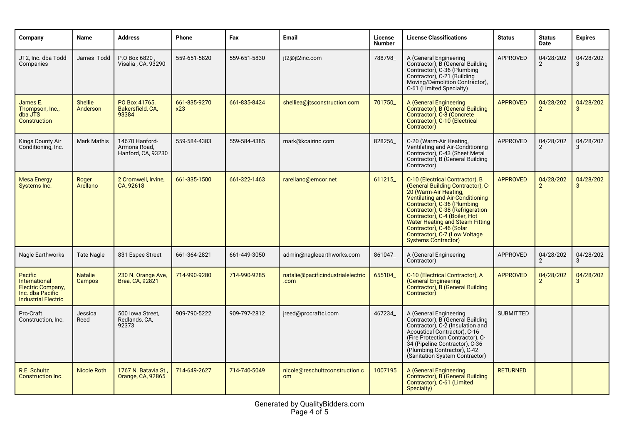| Company                                                                                                       | <b>Name</b>                | <b>Address</b>                                       | Phone               | Fax          | Email                                     | License<br><b>Number</b> | <b>License Classifications</b>                                                                                                                                                                                                                                                                                                                                      | <b>Status</b>    | <b>Status</b><br><b>Date</b> | <b>Expires</b> |
|---------------------------------------------------------------------------------------------------------------|----------------------------|------------------------------------------------------|---------------------|--------------|-------------------------------------------|--------------------------|---------------------------------------------------------------------------------------------------------------------------------------------------------------------------------------------------------------------------------------------------------------------------------------------------------------------------------------------------------------------|------------------|------------------------------|----------------|
| JT2, Inc. dba Todd<br>Companies                                                                               | James Todd                 | P.O Box 6820,<br>Visalia , CA, 93290                 | 559-651-5820        | 559-651-5830 | jt2@jt2inc.com                            | 788798                   | A (General Engineering<br>Contractor), B (General Building<br>Contractor), C-36 (Plumbing<br>Contractor), C-21 (Building<br>Moving/Demolition Contractor),<br>C-61 (Limited Specialty)                                                                                                                                                                              | APPROVED         | 04/28/202<br>$\overline{2}$  | 04/28/202<br>3 |
| James E.<br>Thompson. Inc<br>dba JTS<br>Construction                                                          | <b>Shellie</b><br>Anderson | PO Box 41765,<br>Bakersfield, CA.<br>93384           | 661-835-9270<br>x23 | 661-835-8424 | shelliea@jtsconstruction.com              | 701750                   | A (General Engineering<br>Contractor), B (General Building<br>Contractor), C-8 (Concrete<br>Contractor), C-10 (Electrical<br>Contractor)                                                                                                                                                                                                                            | <b>APPROVED</b>  | 04/28/202<br>$\mathcal{P}$   | 04/28/202<br>3 |
| Kings County Air<br>Conditioning, Inc.                                                                        | <b>Mark Mathis</b>         | 14670 Hanford-<br>Armona Road,<br>Hanford, CA, 93230 | 559-584-4383        | 559-584-4385 | mark@kcairinc.com                         | 828256_                  | C-20 (Warm-Air Heating,<br>Ventilating and Air-Conditioning<br>Contractor). C-43 (Sheet Metal<br>Contractor), B (General Building<br>Contractor)                                                                                                                                                                                                                    | APPROVED         | 04/28/202<br>$\overline{2}$  | 04/28/202<br>3 |
| <b>Mesa Energy</b><br>Systems Inc.                                                                            | Roger<br>Arellano          | 2 Cromwell, Irvine,<br>CA, 92618                     | 661-335-1500        | 661-322-1463 | rarellano@emcor.net                       | 611215                   | C-10 (Electrical Contractor), B<br>(General Building Contractor), C-<br>20 (Warm-Air Heating,<br>Ventilating and Air-Conditioning<br>Contractor), C-36 (Plumbing<br>Contractor), C-38 (Refrigeration<br>Contractor), C-4 (Boiler, Hot<br>Water Heating and Steam Fitting<br>Contractor), C-46 (Solar<br>Contractor), C-7 (Low Voltage<br><b>Systems Contractor)</b> | <b>APPROVED</b>  | 04/28/202<br>$\overline{2}$  | 04/28/202<br>3 |
| Nagle Earthworks                                                                                              | <b>Tate Nagle</b>          | 831 Espee Street                                     | 661-364-2821        | 661-449-3050 | admin@nagleearthworks.com                 | 861047                   | A (General Engineering<br>Contractor)                                                                                                                                                                                                                                                                                                                               | APPROVED         | 04/28/202                    | 04/28/202<br>3 |
| Pacific<br><b>International</b><br><b>Electric Company,</b><br>Inc. dba Pacific<br><b>Industrial Electric</b> | <b>Natalie</b><br>Campos   | 230 N. Orange Ave,<br>Brea, CA, 92821                | 714-990-9280        | 714-990-9285 | natalie@pacificindustrialelectric<br>.com | 655104                   | C-10 (Electrical Contractor), A<br><b>General Engineering</b><br>Contractor), B (General Building<br>Contractor)                                                                                                                                                                                                                                                    | <b>APPROVED</b>  | 04/28/202                    | 04/28/202<br>3 |
| Pro-Craft<br>Construction, Inc.                                                                               | Jessica<br>Reed            | 500 Iowa Street,<br>Redlands, CA,<br>92373           | 909-790-5222        | 909-797-2812 | jreed@procraftci.com                      | 467234                   | A (General Engineering<br>Contractor), B (General Building<br>Contractor), C-2 (Insulation and<br>Acoustical Contractor), C-16<br>(Fire Protection Contractor), C-<br>34 (Pipeline Contractor), C-36<br>(Plumbing Contractor), C-42<br>(Sanitation System Contractor)                                                                                               | <b>SUBMITTED</b> |                              |                |
| R.E. Schultz<br><b>Construction Inc.</b>                                                                      | <b>Nicole Roth</b>         | 1767 N. Batavia St.,<br>Orange, CA, 92865            | 714-649-2627        | 714-740-5049 | nicole@reschultzconstruction.c<br>om      | 1007195                  | A (General Engineering<br>Contractor), B (General Building<br>Contractor), C-61 (Limited<br>Specialty)                                                                                                                                                                                                                                                              | <b>RETURNED</b>  |                              |                |